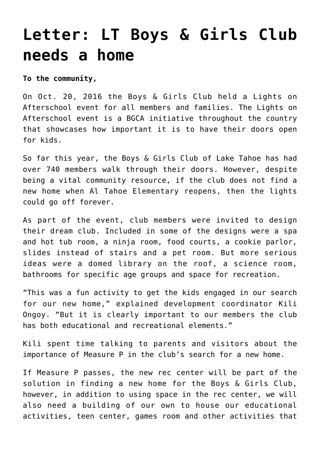## **[Letter: LT Boys & Girls Club](https://www.laketahoenews.net/2016/10/letter-lt-boys-girls-club-needs-a-home/) [needs a home](https://www.laketahoenews.net/2016/10/letter-lt-boys-girls-club-needs-a-home/)**

**To the community,**

On Oct. 20, 2016 the Boys & Girls Club held a Lights on Afterschool event for all members and families. The Lights on Afterschool event is a BGCA initiative throughout the country that showcases how important it is to have their doors open for kids.

So far this year, the Boys & Girls Club of Lake Tahoe has had over 740 members walk through their doors. However, despite being a vital community resource, if the club does not find a new home when Al Tahoe Elementary reopens, then the lights could go off forever.

As part of the event, club members were invited to design their dream club. Included in some of the designs were a spa and hot tub room, a ninja room, food courts, a cookie parlor, slides instead of stairs and a pet room. But more serious ideas were a domed library on the roof, a science room, bathrooms for specific age groups and space for recreation.

"This was a fun activity to get the kids engaged in our search for our new home," explained development coordinator Kili Ongoy. "But it is clearly important to our members the club has both educational and recreational elements."

Kili spent time talking to parents and visitors about the importance of Measure P in the club's search for a new home.

If Measure P passes, the new rec center will be part of the solution in finding a new home for the Boys & Girls Club, however, in addition to using space in the rec center, we will also need a building of our own to house our educational activities, teen center, games room and other activities that